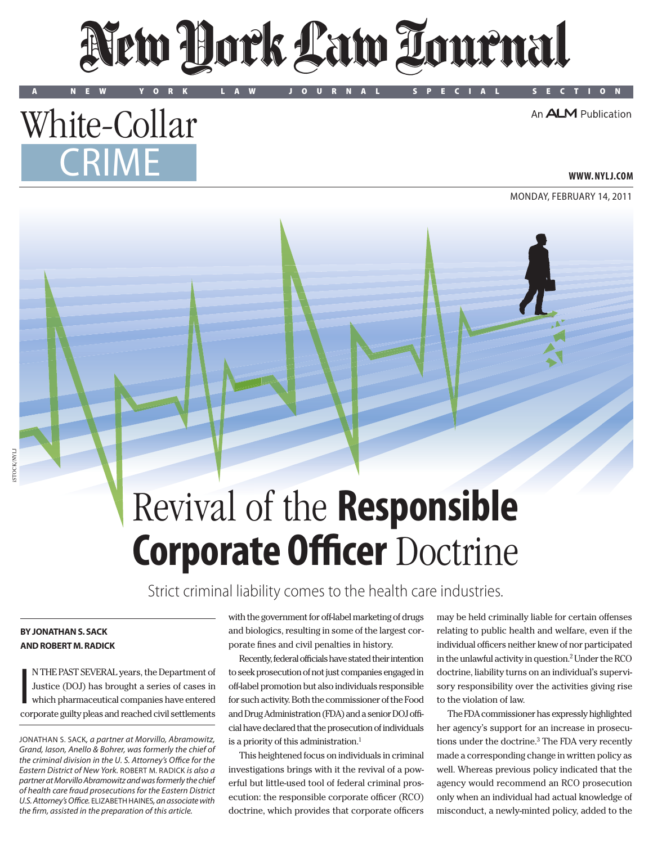# New York Law Tournal

A NEW YORK LAW JOURNAL SPECIAL SECTION

An **ALM** Publication

### White-Collar **CRIME**

**www. NYLJ.com**

Monday, february 14, 2011

## Revival of the **Responsible Corporate Officer** Doctrine

Strict criminal liability comes to the health care industries.

#### **By Jonathan S. Sack and Robert M. Radick**

I N THE PAST SEVERAL years, the Department of Justice (DOJ) has brought a series of cases in which pharmaceutical companies have entered corporate guilty pleas and reached civil settlements with the government for off-label marketing of drugs and biologics, resulting in some of the largest corporate fines and civil penalties in history.

Recently, federal officials have stated their intention to seek prosecution of not just companies engaged in off-label promotion but also individuals responsible for such activity. Both the commissioner of the Food and Drug Administration (FDA) and a senior DOJ official have declared that the prosecution of individuals is a priority of this administration.<sup>1</sup>

This heightened focus on individuals in criminal investigations brings with it the revival of a powerful but little-used tool of federal criminal prosecution: the responsible corporate officer (RCO) doctrine, which provides that corporate officers

may be held criminally liable for certain offenses relating to public health and welfare, even if the individual officers neither knew of nor participated in the unlawful activity in question. $^2$  Under the RC $^{\rm o}$ doctrine, liability turns on an individual's supervisory responsibility over the activities giving rise to the violation of law.

The FDA commissioner has expressly highlighted her agency's support for an increase in prosecutions under the doctrine.3 The FDA very recently made a corresponding change in written policy as well. Whereas previous policy indicated that the agency would recommend an RCO prosecution only when an individual had actual knowledge of misconduct, a newly-minted policy, added to the

Jonathan S. Sack*, a partner at Morvillo, Abramowitz, Grand, Iason, Anello & Bohrer, was formerly the chief of the criminal division in the U. S. Attorney's Office for the Eastern District of New York.* Robert M. Radick *is also a partner at Morvillo Abramowitz and was formerly the chief of health care fraud prosecutions for the Eastern District U.S. Attorney's Office.* Elizabeth Haines*, an associate with the firm, assisted in the preparation of this article.*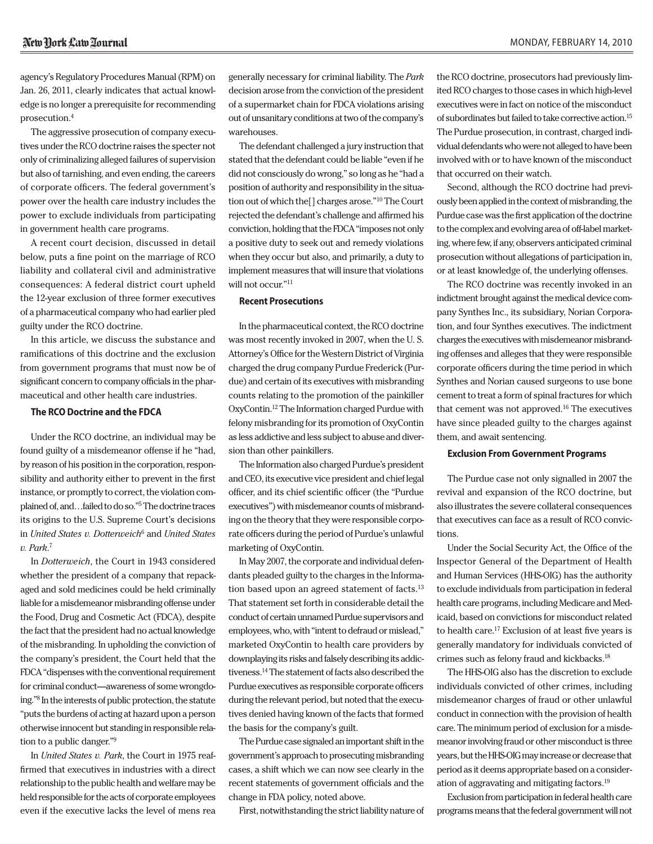agency's Regulatory Procedures Manual (RPM) on Jan. 26, 2011, clearly indicates that actual knowledge is no longer a prerequisite for recommending prosecution.4

The aggressive prosecution of company executives under the RCO doctrine raises the specter not only of criminalizing alleged failures of supervision but also of tarnishing, and even ending, the careers of corporate officers. The federal government's power over the health care industry includes the power to exclude individuals from participating in government health care programs.

A recent court decision, discussed in detail below, puts a fine point on the marriage of RCO liability and collateral civil and administrative consequences: A federal district court upheld the 12-year exclusion of three former executives of a pharmaceutical company who had earlier pled guilty under the RCO doctrine.

In this article, we discuss the substance and ramifications of this doctrine and the exclusion from government programs that must now be of significant concern to company officials in the pharmaceutical and other health care industries.

#### **The RCO Doctrine and the FDCA**

Under the RCO doctrine, an individual may be found guilty of a misdemeanor offense if he "had, by reason of his position in the corporation, responsibility and authority either to prevent in the first instance, or promptly to correct, the violation complained of, and…failed to do so."5The doctrine traces its origins to the U.S. Supreme Court's decisions in *United States v. Dotterweich*<sup>6</sup> and *United States v. Park*. 7

In *Dotterweich*, the Court in 1943 considered whether the president of a company that repackaged and sold medicines could be held criminally liable for a misdemeanor misbranding offense under the Food, Drug and Cosmetic Act (FDCA), despite the fact that the president had no actual knowledge of the misbranding. In upholding the conviction of the company's president, the Court held that the FDCA "dispenses with the conventional requirement for criminal conduct—awareness of some wrongdoing."8 In the interests of public protection, the statute "puts the burdens of acting at hazard upon a person otherwise innocent but standing in responsible relation to a public danger."9

In *United States v. Park*, the Court in 1975 reaffirmed that executives in industries with a direct relationship to the public health and welfare may be held responsible for the acts of corporate employees even if the executive lacks the level of mens rea generally necessary for criminal liability. The *Park* decision arose from the conviction of the president of a supermarket chain for FDCA violations arising out of unsanitary conditions at two of the company's warehouses.

The defendant challenged a jury instruction that stated that the defendant could be liable "even if he did not consciously do wrong," so long as he "had a position of authority and responsibility in the situation out of which the[] charges arose."10 The Court rejected the defendant's challenge and affirmed his conviction, holding that the FDCA "imposes not only a positive duty to seek out and remedy violations when they occur but also, and primarily, a duty to implement measures that will insure that violations will not occur."<sup>11</sup>

#### **Recent Prosecutions**

In the pharmaceutical context, the RCO doctrine was most recently invoked in 2007, when the U. S. Attorney's Office for the Western District of Virginia charged the drug company Purdue Frederick (Purdue) and certain of its executives with misbranding counts relating to the promotion of the painkiller OxyContin.12 The Information charged Purdue with felony misbranding for its promotion of OxyContin as less addictive and less subject to abuse and diversion than other painkillers.

The Information also charged Purdue's president and CEO, its executive vice president and chief legal officer, and its chief scientific officer (the "Purdue executives") with misdemeanor counts of misbranding on the theory that they were responsible corporate officers during the period of Purdue's unlawful marketing of OxyContin.

In May 2007, the corporate and individual defendants pleaded guilty to the charges in the Information based upon an agreed statement of facts.<sup>13</sup> That statement set forth in considerable detail the conduct of certain unnamed Purdue supervisors and employees, who, with "intent to defraud or mislead," marketed OxyContin to health care providers by downplaying its risks and falsely describing its addictiveness.14The statement of facts also described the Purdue executives as responsible corporate officers during the relevant period, but noted that the executives denied having known of the facts that formed the basis for the company's guilt.

The Purdue case signaled an important shift in the government's approach to prosecuting misbranding cases, a shift which we can now see clearly in the recent statements of government officials and the change in FDA policy, noted above.

First, notwithstanding the strict liability nature of

the RCO doctrine, prosecutors had previously limited RCO charges to those cases in which high-level executives were in fact on notice of the misconduct of subordinates but failed to take corrective action.15 The Purdue prosecution, in contrast, charged individual defendants who were not alleged to have been involved with or to have known of the misconduct that occurred on their watch.

Second, although the RCO doctrine had previously been applied in the context of misbranding, the Purdue case was the first application of the doctrine to the complex and evolving area of off-label marketing, where few, if any, observers anticipated criminal prosecution without allegations of participation in, or at least knowledge of, the underlying offenses.

The RCO doctrine was recently invoked in an indictment brought against the medical device company Synthes Inc., its subsidiary, Norian Corporation, and four Synthes executives. The indictment charges the executives with misdemeanor misbranding offenses and alleges that they were responsible corporate officers during the time period in which Synthes and Norian caused surgeons to use bone cement to treat a form of spinal fractures for which that cement was not approved.16 The executives have since pleaded guilty to the charges against them, and await sentencing.

#### **Exclusion From Government Programs**

The Purdue case not only signalled in 2007 the revival and expansion of the RCO doctrine, but also illustrates the severe collateral consequences that executives can face as a result of RCO convictions.

Under the Social Security Act, the Office of the Inspector General of the Department of Health and Human Services (HHS-OIG) has the authority to exclude individuals from participation in federal health care programs, including Medicare and Medicaid, based on convictions for misconduct related to health care.<sup>17</sup> Exclusion of at least five years is generally mandatory for individuals convicted of crimes such as felony fraud and kickbacks.18

The HHS-OIG also has the discretion to exclude individuals convicted of other crimes, including misdemeanor charges of fraud or other unlawful conduct in connection with the provision of health care. The minimum period of exclusion for a misdemeanor involving fraud or other misconduct is three years, but the HHS-OIG may increase or decrease that period as it deems appropriate based on a consideration of aggravating and mitigating factors.19

Exclusion from participation in federal health care programs means that the federal government will not